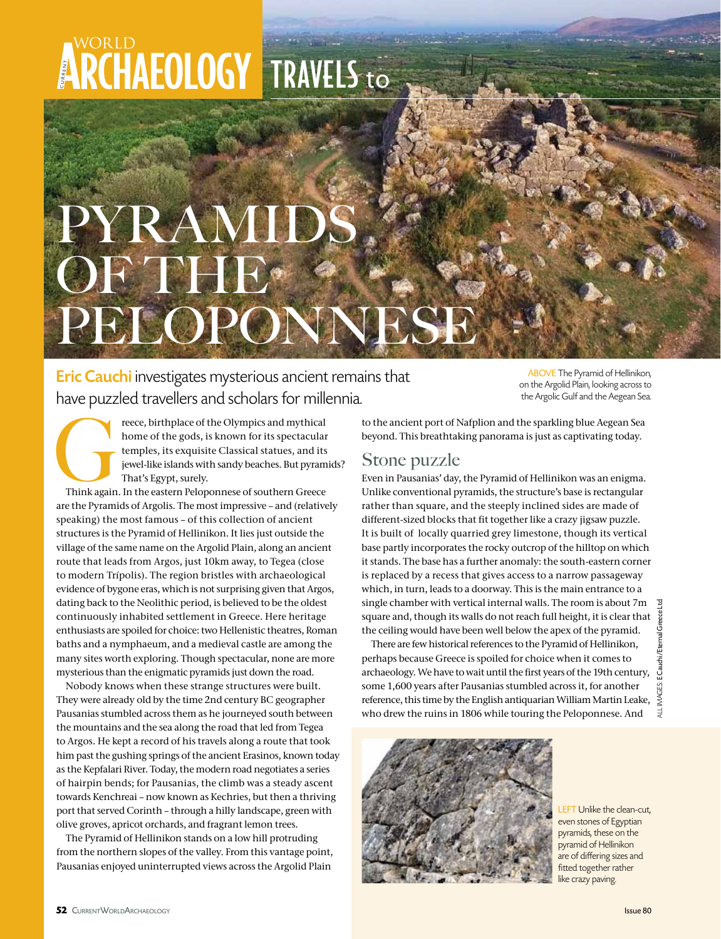## **ARCHAEOLOGY TRAVELS to**

## PYRAMI OF THE PELOPONNESE

Eric Cauchi investigates mysterious ancient remains that have puzzled travellers and scholars for millennia.

ABOVE The Pyramid of Hellinikon, on the Argolid Plain, looking across to the Argolic Gulf and the Aegean Sea.

Freece, birthplace of the Olympics and mythical<br>
home of the gods, is known for its spectacular<br>
temples, its exquisite Classical statues, and its<br>
jewel-like islands with sandy beaches. But pyram<br>
Think again. In the east home of the gods, is known for its spectacular temples, its exquisite Classical statues, and its jewel-like islands with sandy beaches. But pyramids? That's Egypt, surely.

are the Pyramids of Argolis. The most impressive – and (relatively speaking) the most famous – of this collection of ancient structures is the Pyramid of Hellinikon. It lies just outside the village of the same name on the Argolid Plain, along an ancient route that leads from Argos, just 10km away, to Tegea (close to modern Trípolis). The region bristles with archaeological evidence of bygone eras, which is not surprising given that Argos, dating back to the Neolithic period, is believed to be the oldest continuously inhabited settlement in Greece. Here heritage enthusiasts are spoiled for choice: two Hellenistic theatres, Roman baths and a nymphaeum, and a medieval castle are among the many sites worth exploring. Though spectacular, none are more mysterious than the enigmatic pyramids just down the road.

Nobody knows when these strange structures were built. They were already old by the time 2nd century BC geographer Pausanias stumbled across them as he journeyed south between the mountains and the sea along the road that led from Tegea to Argos. He kept a record of his travels along a route that took him past the gushing springs of the ancient Erasinos, known today as the Kepfalari River. Today, the modern road negotiates a series of hairpin bends; for Pausanias, the climb was a steady ascent towards Kenchreai – now known as Kechries, but then a thriving port that served Corinth – through a hilly landscape, green with olive groves, apricot orchards, and fragrant lemon trees.

The Pyramid of Hellinikon stands on a low hill protruding from the northern slopes of the valley. From this vantage point, Pausanias enjoyed uninterrupted views across the Argolid Plain

to the ancient port of Nafplion and the sparkling blue Aegean Sea beyond. This breathtaking panorama is just as captivating today.

## Stone puzzle

Even in Pausanias' day, the Pyramid of Hellinikon was an enigma. Unlike conventional pyramids, the structure's base is rectangular rather than square, and the steeply inclined sides are made of different-sized blocks that fit together like a crazy jigsaw puzzle. It is built of locally quarried grey limestone, though its vertical base partly incorporates the rocky outcrop of the hilltop on which it stands. The base has a further anomaly: the south-eastern corner is replaced by a recess that gives access to a narrow passageway which, in turn, leads to a doorway. This is the main entrance to a single chamber with vertical internal walls. The room is about 7m square and, though its walls do not reach full height, it is clear that the ceiling would have been well below the apex of the pyramid.

There are few historical references to the Pyramid of Hellinikon, perhaps because Greece is spoiled for choice when it comes to archaeology. We have to wait until the first years of the 19th century, some 1,600 years after Pausanias stumbled across it, for another reference, this time by the English antiquarian William Martin Leake, who drew the ruins in 1806 while touring the Peloponnese. And



LEFT Unlike the clean-cut, even stones of Egyptian pyramids, these on the pyramid of Hellinikon are of differing sizes and fitted together rather like crazy paving.